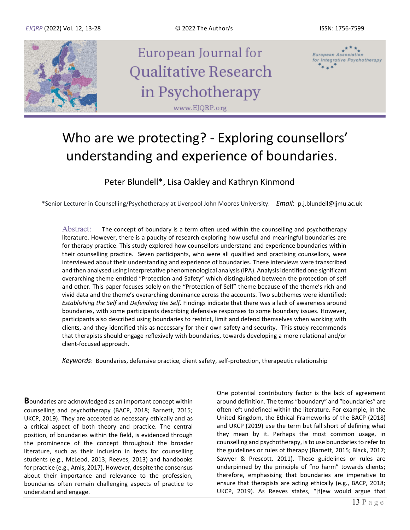

# Who are we protecting? - Exploring counsellors' understanding and experience of boundaries.

Peter Blundell\*, Lisa Oakley and Kathryn Kinmond

\*Senior Lecturer in Counselling/Psychotherapy at Liverpool John Moores University. *Email*: p.j.blundell@ljmu.ac.uk

Abstract: The concept of boundary is a term often used within the counselling and psychotherapy literature. However, there is a paucity of research exploring how useful and meaningful boundaries are for therapy practice. This study explored how counsellors understand and experience boundaries within their counselling practice. Seven participants, who were all qualified and practising counsellors, were interviewed about their understanding and experience of boundaries. These interviews were transcribed and then analysed using interpretative phenomenological analysis (IPA). Analysis identified one significant overarching theme entitled "Protection and Safety" which distinguished between the protection of self and other. This paper focuses solely on the "Protection of Self" theme because of the theme's rich and vivid data and the theme's overarching dominance across the accounts. Two subthemes were identified: *Establishing the Self* and *Defending the Self*. Findings indicate that there was a lack of awareness around boundaries, with some participants describing defensive responses to some boundary issues. However, participants also described using boundaries to restrict, limit and defend themselves when working with clients, and they identified this as necessary for their own safety and security. This study recommends that therapists should engage reflexively with boundaries, towards developing a more relational and/or client-focused approach.

*Keywords*: Boundaries, defensive practice, client safety, self-protection, therapeutic relationship

**B**oundaries are acknowledged as an important concept within counselling and psychotherapy (BACP, 2018; Barnett, 2015; UKCP, 2019). They are accepted as necessary ethically and as a critical aspect of both theory and practice. The central position, of boundaries within the field, is evidenced through the prominence of the concept throughout the broader literature, such as their inclusion in texts for counselling students (e.g., McLeod, 2013; Reeves, 2013) and handbooks for practice (e.g., Amis, 2017). However, despite the consensus about their importance and relevance to the profession, boundaries often remain challenging aspects of practice to understand and engage.

One potential contributory factor is the lack of agreement around definition. The terms "boundary" and "boundaries" are often left undefined within the literature. For example, in the United Kingdom, the Ethical Frameworks of the BACP (2018) and UKCP (2019) use the term but fall short of defining what they mean by it. Perhaps the most common usage, in counselling and psychotherapy, is to use boundaries to refer to the guidelines or rules of therapy (Barnett, 2015; Black, 2017; Sawyer & Prescott, 2011). These guidelines or rules are underpinned by the principle of "no harm" towards clients; therefore, emphasising that boundaries are imperative to ensure that therapists are acting ethically (e.g., BACP, 2018; UKCP, 2019). As Reeves states, "[f]ew would argue that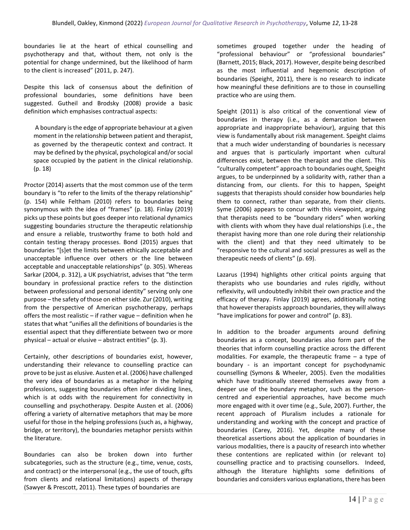boundaries lie at the heart of ethical counselling and psychotherapy and that, without them, not only is the potential for change undermined, but the likelihood of harm to the client is increased" (2011, p. 247).

Despite this lack of consensus about the definition of professional boundaries, some definitions have been suggested. Gutheil and Brodsky (2008) provide a basic definition which emphasises contractual aspects:

A boundary is the edge of appropriate behaviour at a given moment in the relationship between patient and therapist, as governed by the therapeutic context and contract. It may be defined by the physical, psychological and/or social space occupied by the patient in the clinical relationship. (p. 18)

Proctor (2014) asserts that the most common use of the term boundary is "to refer to the limits of the therapy relationship" (p. 154) while Feltham (2010) refers to boundaries being synonymous with the idea of "frames" (p. 18). Finlay (2019) picks up these points but goes deeper into relational dynamics suggesting boundaries structure the therapeutic relationship and ensure a reliable, trustworthy frame to both hold and contain testing therapy processes. Bond (2015) argues that boundaries "[s]et the limits between ethically acceptable and unacceptable influence over others or the line between acceptable and unacceptable relationships" (p. 305). Whereas Sarkar (2004, p. 312), a UK psychiatrist, advises that "the term boundary in professional practice refers to the distinction between professional and personal identity" serving only one purpose – the safety of those on either side. Zur (2010), writing from the perspective of American psychotherapy, perhaps offers the most realistic – if rather vague – definition when he states that what "unifies all the definitions of boundaries is the essential aspect that they differentiate between two or more physical – actual or elusive – abstract entities" (p. 3).

Certainly, other descriptions of boundaries exist, however, understanding their relevance to counselling practice can prove to be just as elusive. Austen et al. (2006) have challenged the very idea of boundaries as a metaphor in the helping professions, suggesting boundaries often infer dividing lines, which is at odds with the requirement for connectivity in counselling and psychotherapy. Despite Austen et al. (2006) offering a variety of alternative metaphors that may be more useful for those in the helping professions (such as, a highway, bridge, or territory), the boundaries metaphor persists within the literature.

Boundaries can also be broken down into further subcategories, such as the structure (e.g., time, venue, costs, and contract) or the interpersonal (e.g., the use of touch, gifts from clients and relational limitations) aspects of therapy (Sawyer & Prescott, 2011). These types of boundaries are

sometimes grouped together under the heading of "professional behaviour" or "professional boundaries" (Barnett, 2015; Black, 2017). However, despite being described as the most influential and hegemonic description of boundaries (Speight, 2011), there is no research to indicate how meaningful these definitions are to those in counselling practice who are using them.

Speight (2011) is also critical of the conventional view of boundaries in therapy (i.e., as a demarcation between appropriate and inappropriate behaviour), arguing that this view is fundamentally about risk management. Speight claims that a much wider understanding of boundaries is necessary and argues that is particularly important when cultural differences exist, between the therapist and the client. This "culturally competent" approach to boundaries ought, Speight argues, to be underpinned by a solidarity with, rather than a distancing from, our clients. For this to happen, Speight suggests that therapists should consider how boundaries help them to connect, rather than separate, from their clients. Syme (2006) appears to concur with this viewpoint, arguing that therapists need to be "boundary riders" when working with clients with whom they have dual relationships (i.e., the therapist having more than one role during their relationship with the client) and that they need ultimately to be "responsive to the cultural and social pressures as well as the therapeutic needs of clients" (p. 69).

Lazarus (1994) highlights other critical points arguing that therapists who use boundaries and rules rigidly, without reflexivity, will undoubtedly inhibit their own practice and the efficacy of therapy. Finlay (2019) agrees, additionally noting that however therapists approach boundaries, they will always "have implications for power and control" (p. 83).

In addition to the broader arguments around defining boundaries as a concept, boundaries also form part of the theories that inform counselling practice across the different modalities. For example, the therapeutic frame – a type of boundary - is an important concept for psychodynamic counselling (Symons & Wheeler, 2005). Even the modalities which have traditionally steered themselves away from a deeper use of the boundary metaphor, such as the personcentred and experiential approaches, have become much more engaged with it over time (e.g., Sule, 2007). Further, the recent approach of Pluralism includes a rationale for understanding and working with the concept and practice of boundaries (Carey, 2016). Yet, despite many of these theoretical assertions about the application of boundaries in various modalities, there is a paucity of research into whether these contentions are replicated within (or relevant to) counselling practice and to practising counsellors. Indeed, although the literature highlights some definitions of boundaries and considers various explanations, there has been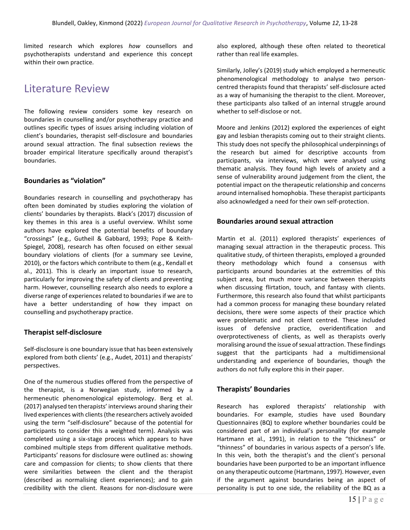limited research which explores *how* counsellors and psychotherapists understand and experience this concept within their own practice.

# Literature Review

The following review considers some key research on boundaries in counselling and/or psychotherapy practice and outlines specific types of issues arising including violation of client's boundaries, therapist self-disclosure and boundaries around sexual attraction. The final subsection reviews the broader empirical literature specifically around therapist's boundaries.

### **Boundaries as "violation"**

Boundaries research in counselling and psychotherapy has often been dominated by studies exploring the violation of clients' boundaries by therapists. Black's (2017) discussion of key themes in this area is a useful overview. Whilst some authors have explored the potential benefits of boundary "crossings" (e.g., Gutheil & Gabbard, 1993; Pope & Keith-Spiegel, 2008), research has often focused on either sexual boundary violations of clients (for a summary see Levine, 2010), or the factors which contribute to them (e.g., Kendall et al., 2011). This is clearly an important issue to research, particularly for improving the safety of clients and preventing harm. However, counselling research also needs to explore a diverse range of experiences related to boundaries if we are to have a better understanding of how they impact on counselling and psychotherapy practice.

### **Therapist self-disclosure**

Self-disclosure is one boundary issue that has been extensively explored from both clients' (e.g., Audet, 2011) and therapists' perspectives.

One of the numerous studies offered from the perspective of the therapist, is a Norwegian study, informed by a hermeneutic phenomenological epistemology. Berg et al. (2017) analysed ten therapists' interviews around sharing their lived experiences with clients (the researchers actively avoided using the term "self-disclosure" because of the potential for participants to consider this a weighted term). Analysis was completed using a six-stage process which appears to have combined multiple steps from different qualitative methods. Participants' reasons for disclosure were outlined as: showing care and compassion for clients; to show clients that there were similarities between the client and the therapist (described as normalising client experiences); and to gain credibility with the client. Reasons for non-disclosure were also explored, although these often related to theoretical rather than real life examples.

Similarly, Jolley's (2019) study which employed a hermeneutic phenomenological methodology to analyse two personcentred therapists found that therapists' self-disclosure acted as a way of humanising the therapist to the client. Moreover, these participants also talked of an internal struggle around whether to self-disclose or not.

Moore and Jenkins (2012) explored the experiences of eight gay and lesbian therapists coming out to their straight clients. This study does not specify the philosophical underpinnings of the research but aimed for descriptive accounts from participants, via interviews, which were analysed using thematic analysis. They found high levels of anxiety and a sense of vulnerability around judgement from the client, the potential impact on the therapeutic relationship and concerns around internalised homophobia. These therapist participants also acknowledged a need for their own self-protection.

### **Boundaries around sexual attraction**

Martin et al. (2011) explored therapists' experiences of managing sexual attraction in the therapeutic process. This qualitative study, of thirteen therapists, employed a grounded theory methodology which found a consensus with participants around boundaries at the extremities of this subject area, but much more variance between therapists when discussing flirtation, touch, and fantasy with clients. Furthermore, this research also found that whilst participants had a common process for managing these boundary related decisions, there were some aspects of their practice which were problematic and not client centred. These included issues of defensive practice, overidentification and overprotectiveness of clients, as well as therapists overly moralising around the issue of sexual attraction. These findings suggest that the participants had a multidimensional understanding and experience of boundaries, though the authors do not fully explore this in their paper.

### **Therapists' Boundaries**

Research has explored therapists' relationship with boundaries. For example, studies have used Boundary Questionnaires (BQ) to explore whether boundaries could be considered part of an individual's personality (for example Hartmann et al., 1991), in relation to the "thickness" or "thinness" of boundaries in various aspects of a person's life. In this vein, both the therapist's and the client's personal boundaries have been purported to be an important influence on any therapeutic outcome (Hartmann, 1997). However, even if the argument against boundaries being an aspect of personality is put to one side, the reliability of the BQ as a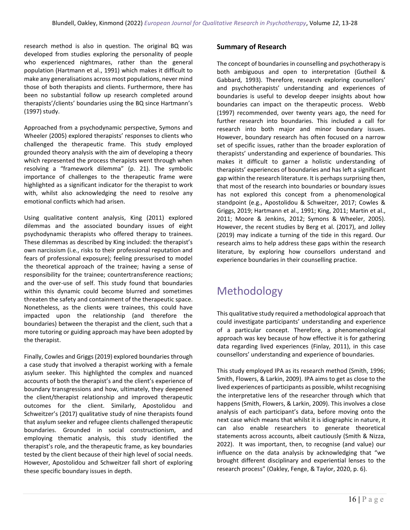research method is also in question. The original BQ was developed from studies exploring the personality of people who experienced nightmares, rather than the general population (Hartmann et al., 1991) which makes it difficult to make any generalisations across most populations, never mind those of both therapists and clients. Furthermore, there has been no substantial follow up research completed around therapists'/clients' boundaries using the BQ since Hartmann's (1997) study.

Approached from a psychodynamic perspective, Symons and Wheeler (2005) explored therapists' responses to clients who challenged the therapeutic frame. This study employed grounded theory analysis with the aim of developing a theory which represented the process therapists went through when resolving a "framework dilemma" (p. 21). The symbolic importance of challenges to the therapeutic frame were highlighted as a significant indicator for the therapist to work with, whilst also acknowledging the need to resolve any emotional conflicts which had arisen.

Using qualitative content analysis, King (2011) explored dilemmas and the associated boundary issues of eight psychodynamic therapists who offered therapy to trainees. These dilemmas as described by King included: the therapist's own narcissism (i.e., risks to their professional reputation and fears of professional exposure); feeling pressurised to model the theoretical approach of the trainee; having a sense of responsibility for the trainee; countertransference reactions; and the over-use of self. This study found that boundaries within this dynamic could become blurred and sometimes threaten the safety and containment of the therapeutic space. Nonetheless, as the clients were trainees, this could have impacted upon the relationship (and therefore the boundaries) between the therapist and the client, such that a more tutoring or guiding approach may have been adopted by the therapist.

Finally, Cowles and Griggs (2019) explored boundaries through a case study that involved a therapist working with a female asylum seeker. This highlighted the complex and nuanced accounts of both the therapist's and the client's experience of boundary transgressions and how, ultimately, they deepened the client/therapist relationship and improved therapeutic outcomes for the client. Similarly, Apostolidou and Schweitzer's (2017) qualitative study of nine therapists found that asylum seeker and refugee clients challenged therapeutic boundaries. Grounded in social constructionism, and employing thematic analysis, this study identified the therapist's role, and the therapeutic frame, as key boundaries tested by the client because of their high level of social needs. However, Apostolidou and Schweitzer fall short of exploring these specific boundary issues in depth.

### **Summary of Research**

The concept of boundaries in counselling and psychotherapy is both ambiguous and open to interpretation (Gutheil & Gabbard, 1993). Therefore, research exploring counsellors' and psychotherapists' understanding and experiences of boundaries is useful to develop deeper insights about how boundaries can impact on the therapeutic process. Webb (1997) recommended, over twenty years ago, the need for further research into boundaries. This included a call for research into both major and minor boundary issues. However, boundary research has often focused on a narrow set of specific issues, rather than the broader exploration of therapists' understanding and experience of boundaries. This makes it difficult to garner a holistic understanding of therapists' experiences of boundaries and has left a significant gap within the research literature. It is perhaps surprising then, that most of the research into boundaries or boundary issues has not explored this concept from a phenomenological standpoint (e.g., Apostolidou & Schweitzer, 2017; Cowles & Griggs, 2019; Hartmann et al., 1991; King, 2011; Martin et al., 2011; Moore & Jenkins, 2012; Symons & Wheeler, 2005). However, the recent studies by Berg et al. (2017), and Jolley (2019) may indicate a turning of the tide in this regard. Our research aims to help address these gaps within the research literature, by exploring how counsellors understand and experience boundaries in their counselling practice.

# Methodology

This qualitative study required a methodological approach that could investigate participants' understanding and experience of a particular concept. Therefore, a phenomenological approach was key because of how effective it is for gathering data regarding lived experiences (Finlay, 2011), in this case counsellors' understanding and experience of boundaries.

This study employed IPA as its research method (Smith, 1996; Smith, Flowers, & Larkin, 2009). IPA aims to get as close to the lived experiences of participants as possible, whilst recognising the interpretative lens of the researcher through which that happens (Smith, Flowers, & Larkin, 2009). This involves a close analysis of each participant's data, before moving onto the next case which means that whilst it is idiographic in nature, it can also enable researchers to generate theoretical statements across accounts, albeit cautiously (Smith & Nizza, 2022). It was important, then, to recognise (and value) our influence on the data analysis by acknowledging that "we brought different disciplinary and experiential lenses to the research process" (Oakley, Fenge, & Taylor, 2020, p. 6).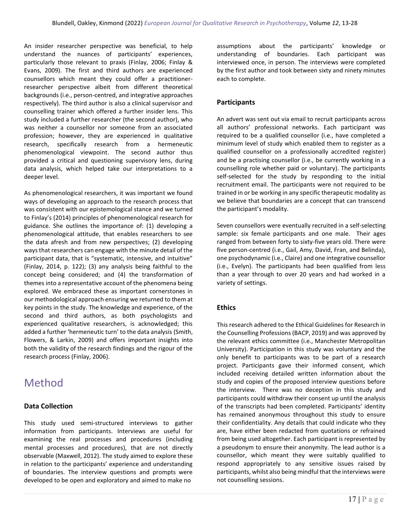An insider researcher perspective was beneficial, to help understand the nuances of participants' experiences, particularly those relevant to praxis (Finlay, 2006; Finlay & Evans, 2009). The first and third authors are experienced counsellors which meant they could offer a practitionerresearcher perspective albeit from different theoretical backgrounds (i.e., person-centred, and integrative approaches respectively). The third author is also a clinical supervisor and counselling trainer which offered a further insider lens. This study included a further researcher (the second author), who was neither a counsellor nor someone from an associated profession; however, they are experienced in qualitative research, specifically research from a hermeneutic phenomenological viewpoint. The second author thus provided a critical and questioning supervisory lens, during data analysis, which helped take our interpretations to a deeper level.

As phenomenological researchers, it was important we found ways of developing an approach to the research process that was consistent with our epistemological stance and we turned to Finlay's (2014) principles of phenomenological research for guidance. She outlines the importance of: (1) developing a phenomenological attitude, that enables researchers to see the data afresh and from new perspectives; (2) developing ways that researchers can engage with the minute detail of the participant data, that is "systematic, intensive, and intuitive" (Finlay, 2014, p. 122); (3) any analysis being faithful to the concept being considered; and (4) the transformation of themes into a representative account of the phenomena being explored. We embraced these as important cornerstones in our methodological approach ensuring we returned to them at key points in the study. The knowledge and experience, of the second and third authors, as both psychologists and experienced qualitative researchers, is acknowledged; this added a further 'hermeneutic turn' to the data analysis (Smith, Flowers, & Larkin, 2009) and offers important insights into both the validity of the research findings and the rigour of the research process (Finlay, 2006).

# Method

# **Data Collection**

This study used semi-structured interviews to gather information from participants. Interviews are useful for examining the real processes and procedures (including mental processes and procedures), that are not directly observable (Maxwell, 2012). The study aimed to explore these in relation to the participants' experience and understanding of boundaries. The interview questions and prompts were developed to be open and exploratory and aimed to make no

assumptions about the participants' knowledge or understanding of boundaries. Each participant was interviewed once, in person. The interviews were completed by the first author and took between sixty and ninety minutes each to complete.

### **Participants**

An advert was sent out via email to recruit participants across all authors' professional networks. Each participant was required to be a qualified counsellor (i.e., have completed a minimum level of study which enabled them to register as a qualified counsellor on a professionally accredited register) and be a practising counsellor (i.e., be currently working in a counselling role whether paid or voluntary). The participants self-selected for the study by responding to the initial recruitment email. The participants were not required to be trained in or be working in any specific therapeutic modality as we believe that boundaries are a concept that can transcend the participant's modality.

Seven counsellors were eventually recruited in a self-selecting sample: six female participants and one male. Their ages ranged from between forty to sixty-five years old. There were five person-centred (i.e., Gail, Amy, David, Fran, and Belinda), one psychodynamic (i.e., Claire) and one integrative counsellor (i.e., Evelyn). The participants had been qualified from less than a year through to over 20 years and had worked in a variety of settings.

# **Ethics**

This research adhered to the Ethical Guidelines for Research in the Counselling Professions (BACP, 2019) and was approved by the relevant ethics committee (i.e., Manchester Metropolitan University). Participation in this study was voluntary and the only benefit to participants was to be part of a research project. Participants gave their informed consent, which included receiving detailed written information about the study and copies of the proposed interview questions before the interview. There was no deception in this study and participants could withdraw their consent up until the analysis of the transcripts had been completed. Participants' identity has remained anonymous throughout this study to ensure their confidentiality. Any details that could indicate who they are, have either been redacted from quotations or refrained from being used altogether. Each participant is represented by a pseudonym to ensure their anonymity. The lead author is a counsellor, which meant they were suitably qualified to respond appropriately to any sensitive issues raised by participants, whilst also being mindful that the interviews were not counselling sessions.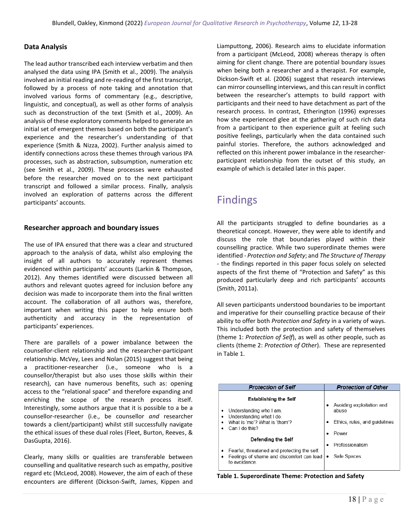### **Data Analysis**

The lead author transcribed each interview verbatim and then analysed the data using IPA (Smith et al., 2009). The analysis involved an initial reading and re-reading of the first transcript, followed by a process of note taking and annotation that involved various forms of commentary (e.g., descriptive, linguistic, and conceptual), as well as other forms of analysis such as deconstruction of the text (Smith et al., 2009). An analysis of these exploratory comments helped to generate an initial set of emergent themes based on both the participant's experience and the researcher's understanding of that experience (Smith & Nizza, 2002). Further analysis aimed to identify connections across these themes through various IPA processes, such as abstraction, subsumption, numeration etc (see Smith et al., 2009). These processes were exhausted before the researcher moved on to the next participant transcript and followed a similar process. Finally, analysis involved an exploration of patterns across the different participants' accounts.

#### **Researcher approach and boundary issues**

The use of IPA ensured that there was a clear and structured approach to the analysis of data, whilst also employing the insight of all authors to accurately represent themes evidenced within participants' accounts (Larkin & Thompson, 2012). Any themes identified were discussed between all authors and relevant quotes agreed for inclusion before any decision was made to incorporate them into the final written account. The collaboration of all authors was, therefore, important when writing this paper to help ensure both authenticity and accuracy in the representation of participants' experiences.

There are parallels of a power imbalance between the counsellor-client relationship and the researcher-participant relationship. McVey, Lees and Nolan (2015) suggest that being a practitioner-researcher (i.e., someone who is a counsellor/therapist but also uses those skills within their research), can have numerous benefits, such as: opening access to the "relational space" and therefore expanding and enriching the scope of the research process itself. Interestingly, some authors argue that it is possible to a be a counsellor-researcher (i.e., be counsellor *and* researcher towards a client/participant) whilst still successfully navigate the ethical issues of these dual roles (Fleet, Burton, Reeves, & DasGupta, 2016).

Clearly, many skills or qualities are transferable between counselling and qualitative research such as empathy, positive regard etc (McLeod, 2008). However, the aim of each of these encounters are different (Dickson-Swift, James, Kippen and Liamputtong, 2006). Research aims to elucidate information from a participant (McLeod, 2008) whereas therapy is often aiming for client change. There are potential boundary issues when being both a researcher and a therapist. For example, Dickson-Swift et al. (2006) suggest that research interviews can mirror counselling interviews, and this can result in conflict between the researcher's attempts to build rapport with participants and their need to have detachment as part of the research process. In contrast, Etherington (1996) expresses how she experienced glee at the gathering of such rich data from a participant to then experience guilt at feeling such positive feelings, particularly when the data contained such painful stories. Therefore, the authors acknowledged and reflected on this inherent power imbalance in the researcherparticipant relationship from the outset of this study, an example of which is detailed later in this paper.

# Findings

All the participants struggled to define boundaries as a theoretical concept. However, they were able to identify and discuss the role that boundaries played within their counselling practice. While two superordinate themes were identified - *Protection and Safety*; and *The Structure of Therapy -* the findings reported in this paper focus solely on selected aspects of the first theme of "Protection and Safety" as this produced particularly deep and rich participants' accounts (Smith, 2011a).

All seven participants understood boundaries to be important and imperative for their counselling practice because of their ability to offer both *Protection and Safety* in a variety of ways. This included both the protection and safety of themselves (theme 1: *Protection of Self*), as well as other people, such as clients (theme 2: *Protection of Other*). These are represented in Table 1.

| <b>Protection of Self</b>                                                                 | <b>Protection of Other</b>         |
|-------------------------------------------------------------------------------------------|------------------------------------|
| <b>Establishing the Self</b>                                                              |                                    |
| Understanding who I am.<br>Understanding what I do.                                       | Avoiding exploitation and<br>abuse |
| What is 'me'? What is 'them'?                                                             | Ethics, rules, and guidelines      |
| Can I do this?                                                                            | Power                              |
| Defending the Self                                                                        | Professionalism                    |
| Fearful, threatened and protecting the self.<br>Feelings of shame and discomfort can lead | Safe Spaces                        |
| to avoidance                                                                              |                                    |

**Table 1. Superordinate Theme: Protection and Safety**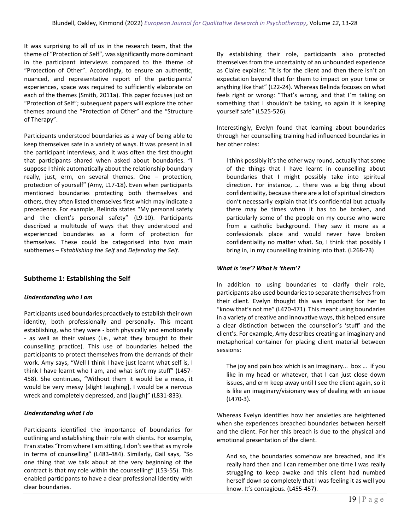It was surprising to all of us in the research team, that the theme of "Protection of Self", was significantly more dominant in the participant interviews compared to the theme of "Protection of Other". Accordingly, to ensure an authentic, nuanced, and representative report of the participants' experiences, space was required to sufficiently elaborate on each of the themes (Smith, 2011a). This paper focuses just on "Protection of Self"; subsequent papers will explore the other themes around the "Protection of Other" and the "Structure of Therapy".

Participants understood boundaries as a way of being able to keep themselves safe in a variety of ways. It was present in all the participant interviews, and it was often the first thought that participants shared when asked about boundaries. "I suppose I think automatically about the relationship boundary really, just, erm, on several themes. One – protection, protection of yourself" (Amy, L17-18). Even when participants mentioned boundaries protecting both themselves and others, they often listed themselves first which may indicate a precedence. For example, Belinda states "My personal safety and the client's personal safety" (L9-10). Participants described a multitude of ways that they understood and experienced boundaries as a form of protection for themselves. These could be categorised into two main subthemes – *Establishing the Self* and *Defending the Self*.

# **Subtheme 1: Establishing the Self**

#### *Understanding who I am*

Participants used boundaries proactively to establish their own identity, both professionally and personally. This meant establishing, who they were - both physically and emotionally - as well as their values (i.e., what they brought to their counselling practice). This use of boundaries helped the participants to protect themselves from the demands of their work. Amy says, "Well I think I have just learnt what self is, I think I have learnt who I am, and what isn't my stuff" (L457- 458). She continues, "Without them it would be a mess, it would be very messy [slight laughing], I would be a nervous wreck and completely depressed, and [laugh]" (L831-833).

#### *Understanding what I do*

Participants identified the importance of boundaries for outlining and establishing their role with clients. For example, Fran states "From where I am sitting, I don't see that as my role in terms of counselling" (L483-484). Similarly, Gail says, "So one thing that we talk about at the very beginning of the contract is that my role within the counselling" (L53-55). This enabled participants to have a clear professional identity with clear boundaries.

By establishing their role, participants also protected themselves from the uncertainty of an unbounded experience as Claire explains: "It is for the client and then there isn't an expectation beyond that for them to impact on your time or anything like that" (L22-24). Whereas Belinda focuses on what feels right or wrong: "That's wrong, and that I`m taking on something that I shouldn't be taking, so again it is keeping yourself safe" (L525-526).

Interestingly, Evelyn found that learning about boundaries through her counselling training had influenced boundaries in her other roles:

I think possibly it's the other way round, actually that some of the things that I have learnt in counselling about boundaries that I might possibly take into spiritual direction. For instance, … there was a big thing about confidentiality, because there are a lot of spiritual directors don't necessarily explain that it's confidential but actually there may be times when it has to be broken, and particularly some of the people on my course who were from a catholic background. They saw it more as a confessionals place and would never have broken confidentiality no matter what. So, I think that possibly I bring in, in my counselling training into that. (L268-73)

#### *What is 'me'? What is 'them'?*

In addition to using boundaries to clarify their role, participants also used boundaries to separate themselves from their client. Evelyn thought this was important for her to "know that's not me" (L470-471). This meant using boundaries in a variety of creative and innovative ways, this helped ensure a clear distinction between the counsellor's 'stuff' and the client's. For example, Amy describes creating an imaginary and metaphorical container for placing client material between sessions:

The joy and pain box which is an imaginary... box … if you like in my head or whatever, that I can just close down issues, and erm keep away until I see the client again, so it is like an imaginary/visionary way of dealing with an issue (L470-3).

Whereas Evelyn identifies how her anxieties are heightened when she experiences breached boundaries between herself and the client. For her this breach is due to the physical and emotional presentation of the client.

And so, the boundaries somehow are breached, and it's really hard then and I can remember one time I was really struggling to keep awake and this client had numbed herself down so completely that I was feeling it as well you know. It's contagious. (L455-457).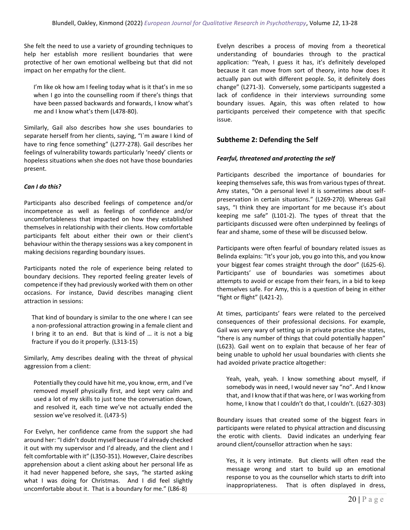She felt the need to use a variety of grounding techniques to help her establish more resilient boundaries that were protective of her own emotional wellbeing but that did not impact on her empathy for the client.

I'm like ok how am I feeling today what is it that's in me so when I go into the counselling room if there's things that have been passed backwards and forwards, I know what's me and I know what's them (L478-80).

Similarly, Gail also describes how she uses boundaries to separate herself from her clients, saying, "I`m aware I kind of have to ring fence something" (L277-278). Gail describes her feelings of vulnerability towards particularly 'needy' clients or hopeless situations when she does not have those boundaries present.

### *Can I do this?*

Participants also described feelings of competence and/or incompetence as well as feelings of confidence and/or uncomfortableness that impacted on how they established themselves in relationship with their clients. How comfortable participants felt about either their own or their client's behaviour within the therapy sessions was a key component in making decisions regarding boundary issues.

Participants noted the role of experience being related to boundary decisions. They reported feeling greater levels of competence if they had previously worked with them on other occasions. For instance, David describes managing client attraction in sessions:

That kind of boundary is similar to the one where I can see a non-professional attraction growing in a female client and I bring it to an end. But that is kind of … it is not a big fracture if you do it properly. (L313-15)

Similarly, Amy describes dealing with the threat of physical aggression from a client:

Potentially they could have hit me, you know, erm, and I've removed myself physically first, and kept very calm and used a lot of my skills to just tone the conversation down, and resolved it, each time we've not actually ended the session we've resolved it. (L473-5)

For Evelyn, her confidence came from the support she had around her: "I didn't doubt myself because I'd already checked it out with my supervisor and I'd already, and the client and I felt comfortable with it" (L350-351). However, Claire describes apprehension about a client asking about her personal life as it had never happened before, she says, "he started asking what I was doing for Christmas. And I did feel slightly uncomfortable about it. That is a boundary for me." (L86-8)

Evelyn describes a process of moving from a theoretical understanding of boundaries through to the practical application: "Yeah, I guess it has, it's definitely developed because it can move from sort of theory, into how does it actually pan out with different people. So, it definitely does change" (L271-3). Conversely, some participants suggested a lack of confidence in their interviews surrounding some boundary issues. Again, this was often related to how participants perceived their competence with that specific issue.

# **Subtheme 2: Defending the Self**

### *Fearful, threatened and protecting the self*

Participants described the importance of boundaries for keeping themselves safe, this was from various types of threat. Amy states, "On a personal level it is sometimes about selfpreservation in certain situations." (L269-270). Whereas Gail says, "I think they are important for me because it's about keeping me safe" (L101-2). The types of threat that the participants discussed were often underpinned by feelings of fear and shame, some of these will be discussed below.

Participants were often fearful of boundary related issues as Belinda explains: "It's your job, you go into this, and you know your biggest fear comes straight through the door" (L625-6). Participants' use of boundaries was sometimes about attempts to avoid or escape from their fears, in a bid to keep themselves safe. For Amy, this is a question of being in either "fight or flight" (L421-2).

At times, participants' fears were related to the perceived consequences of their professional decisions. For example, Gail was very wary of setting up in private practice she states, "there is any number of things that could potentially happen" (L623). Gail went on to explain that because of her fear of being unable to uphold her usual boundaries with clients she had avoided private practice altogether:

Yeah, yeah, yeah. I know something about myself, if somebody was in need, I would never say "no". And I know that, and I know that if that was here, or I was working from home, I know that I couldn't do that, I couldn't. (L627-303)

Boundary issues that created some of the biggest fears in participants were related to physical attraction and discussing the erotic with clients. David indicates an underlying fear around client/counsellor attraction when he says:

Yes, it is very intimate. But clients will often read the message wrong and start to build up an emotional response to you as the counsellor which starts to drift into inappropriateness. That is often displayed in dress,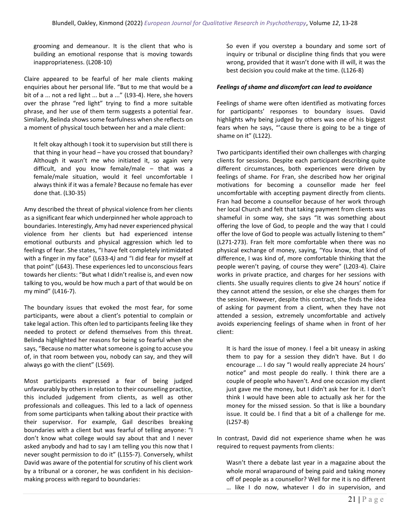grooming and demeanour. It is the client that who is building an emotional response that is moving towards inappropriateness. (L208-10)

Claire appeared to be fearful of her male clients making enquiries about her personal life. "But to me that would be a bit of a ... not a red light ... but a ..." (L93-4). Here, she hovers over the phrase "red light" trying to find a more suitable phrase, and her use of them term suggests a potential fear. Similarly, Belinda shows some fearfulness when she reflects on a moment of physical touch between her and a male client:

It felt okay although I took it to supervision but still there is that thing in your head – have you crossed that boundary? Although it wasn't me who initiated it, so again very difficult, and you know female/male – that was a female/male situation, would it feel uncomfortable I always think if it was a female? Because no female has ever done that. (L30-35)

Amy described the threat of physical violence from her clients as a significant fear which underpinned her whole approach to boundaries. Interestingly, Amy had never experienced physical violence from her clients but had experienced intense emotional outbursts and physical aggression which led to feelings of fear. She states, "I have felt completely intimidated with a finger in my face" (L633-4*)* and "I did fear for myself at that point" (L643). These experiences led to unconscious fears towards her clients: "But what I didn't realise is, and even now talking to you, would be how much a part of that would be on my mind" (L416-7).

The boundary issues that evoked the most fear, for some participants, were about a client's potential to complain or take legal action. This often led to participants feeling like they needed to protect or defend themselves from this threat. Belinda highlighted her reasons for being so fearful when she says, "Because no matter what someone is going to accuse you of, in that room between you, nobody can say, and they will always go with the client" (L569).

Most participants expressed a fear of being judged unfavourably by others in relation to their counselling practice, this included judgement from clients, as well as other professionals and colleagues. This led to a lack of openness from some participants when talking about their practice with their supervisor. For example, Gail describes breaking boundaries with a client but was fearful of telling anyone: "I don't know what college would say about that and I never asked anybody and had to say I am telling you this now that I never sought permission to do it" (L155-7). Conversely, whilst David was aware of the potential for scrutiny of his client work by a tribunal or a coroner, he was confident in his decisionmaking process with regard to boundaries:

So even if you overstep a boundary and some sort of inquiry or tribunal or discipline thing finds that you were wrong, provided that it wasn't done with ill will, it was the best decision you could make at the time. (L126-8)

#### *Feelings of shame and discomfort can lead to avoidance*

Feelings of shame were often identified as motivating forces for participants' responses to boundary issues. David highlights why being judged by others was one of his biggest fears when he says, "'cause there is going to be a tinge of shame on it" (L122).

Two participants identified their own challenges with charging clients for sessions. Despite each participant describing quite different circumstances, both experiences were driven by feelings of shame. For Fran, she described how her original motivations for becoming a counsellor made her feel uncomfortable with accepting payment directly from clients. Fran had become a counsellor because of her work through her local Church and felt that taking payment from clients was shameful in some way, she says "It was something about offering the love of God, to people and the way that I could offer the love of God to people was actually listening to them" (L271-273). Fran felt more comfortable when there was no physical exchange of money, saying, "You know, that kind of difference, I was kind of, more comfortable thinking that the people weren't paying, of course they were" (L203-4). Claire works in private practice, and charges for her sessions with clients. She usually requires clients to give 24 hours' notice if they cannot attend the session, or else she charges them for the session. However, despite this contract, she finds the idea of asking for payment from a client, when they have not attended a session, extremely uncomfortable and actively avoids experiencing feelings of shame when in front of her client:

It is hard the issue of money. I feel a bit uneasy in asking them to pay for a session they didn't have. But I do encourage ... I do say "I would really appreciate 24 hours' notice" and most people do really. I think there are a couple of people who haven't. And one occasion my client just gave me the money, but I didn't ask her for it. I don't think I would have been able to actually ask her for the money for the missed session. So that is like a boundary issue. It could be. I find that a bit of a challenge for me. (L257-8)

In contrast, David did not experience shame when he was required to request payments from clients:

Wasn't there a debate last year in a magazine about the whole moral wraparound of being paid and taking money off of people as a counsellor? Well for me it is no different … like I do now, whatever I do in supervision, and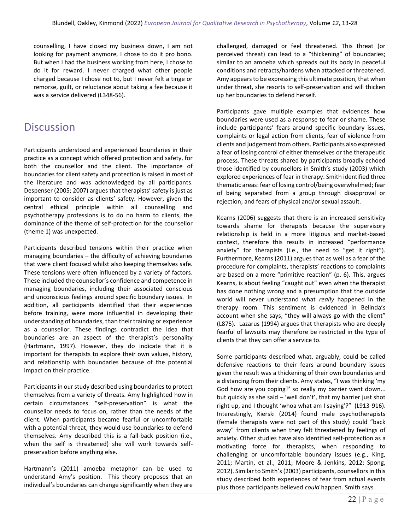counselling, I have closed my business down, I am not looking for payment anymore, I chose to do it pro bono. But when I had the business working from here, I chose to do it for reward. I never charged what other people charged because I chose not to, but I never felt a tinge or remorse, guilt, or reluctance about taking a fee because it was a service delivered (L348-56).

# **Discussion**

Participants understood and experienced boundaries in their practice as a concept which offered protection and safety, for both the counsellor and the client. The importance of boundaries for client safety and protection is raised in most of the literature and was acknowledged by all participants. Despenser (2005; 2007) argues that therapists' safety is just as important to consider as clients' safety. However, given the central ethical principle within all counselling and psychotherapy professions is to do no harm to clients, the dominance of the theme of self-protection for the counsellor (theme 1) was unexpected.

Participants described tensions within their practice when managing boundaries – the difficulty of achieving boundaries that were client focused whilst also keeping themselves safe. These tensions were often influenced by a variety of factors. These included the counsellor's confidence and competence in managing boundaries, including their associated conscious and unconscious feelings around specific boundary issues. In addition, all participants identified that their experiences before training, were more influential in developing their understanding of boundaries, than their training or experience as a counsellor. These findings contradict the idea that boundaries are an aspect of the therapist's personality (Hartmann, 1997). However, they do indicate that it is important for therapists to explore their own values, history, and relationship with boundaries because of the potential impact on their practice.

Participants in our study described using boundaries to protect themselves from a variety of threats. Amy highlighted how in certain circumstances "self-preservation" is what the counsellor needs to focus on, rather than the needs of the client. When participants became fearful or uncomfortable with a potential threat, they would use boundaries to defend themselves. Amy described this is a fall-back position (i.e., when the self is threatened) she will work towards selfpreservation before anything else.

Hartmann's (2011) amoeba metaphor can be used to understand Amy's position. This theory proposes that an individual's boundaries can change significantly when they are challenged, damaged or feel threatened. This threat (or perceived threat) can lead to a "thickening" of boundaries; similar to an amoeba which spreads out its body in peaceful conditions and retracts/hardens when attacked or threatened. Amy appears to be expressing this ultimate position, that when under threat, she resorts to self-preservation and will thicken up her boundaries to defend herself.

Participants gave multiple examples that evidences how boundaries were used as a response to fear or shame. These include participants' fears around specific boundary issues, complaints or legal action from clients, fear of violence from clients and judgement from others. Participants also expressed a fear of losing control of either themselves or the therapeutic process. These threats shared by participants broadly echoed those identified by counsellors in Smith's study (2003) which explored experiences of fear in therapy. Smith identified three thematic areas: fear of losing control/being overwhelmed; fear of being separated from a group through disapproval or rejection; and fears of physical and/or sexual assault.

Kearns (2006) suggests that there is an increased sensitivity towards shame for therapists because the supervisory relationship is held in a more litigious and market-based context, therefore this results in increased "performance anxiety" for therapists (i.e., the need to "get it right"). Furthermore, Kearns (2011) argues that as well as a fear of the procedure for complaints, therapists' reactions to complaints are based on a more "primitive reaction" (p. 6). This, argues Kearns, is about feeling "caught out" even when the therapist has done nothing wrong and a presumption that the outside world will never understand what *really* happened in the therapy room. This sentiment is evidenced in Belinda's account when she says, "they will always go with the client" (L875). Lazarus (1994) argues that therapists who are deeply fearful of lawsuits may therefore be restricted in the type of clients that they can offer a service to.

Some participants described what, arguably, could be called defensive reactions to their fears around boundary issues given the result was a thickening of their own boundaries and a distancing from their clients. Amy states, "I was thinking 'my God how are you coping?' so really my barrier went down... but quickly as she said  $-$  'well don't', that my barrier just shot right up, and I thought 'whoa what am I saying'?" (L913-916). Interestingly, Kierski (2014) found male psychotherapists (female therapists were not part of this study) could "back away" from clients when they felt threatened by feelings of anxiety. Other studies have also identified self-protection as a motivating force for therapists, when responding to challenging or uncomfortable boundary issues (e.g., King, 2011; Martin, et al., 2011; Moore & Jenkins, 2012; Spong, 2012). Similar to Smith's (2003) participants, counsellors in this study described both experiences of fear from actual events plus those participants believed *could* happen. Smith says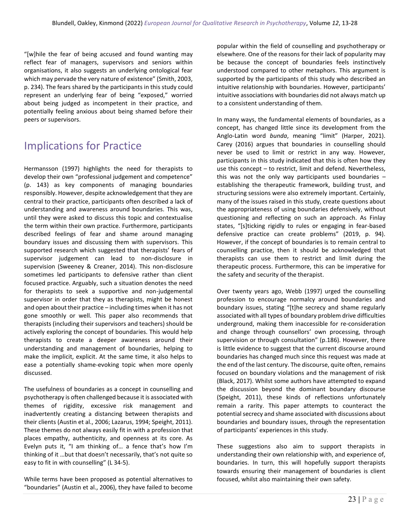"[w]hile the fear of being accused and found wanting may reflect fear of managers, supervisors and seniors within organisations, it also suggests an underlying ontological fear which may pervade the very nature of existence" (Smith, 2003, p. 234). The fears shared by the participants in this study could represent an underlying fear of being "exposed," worried about being judged as incompetent in their practice, and potentially feeling anxious about being shamed before their peers or supervisors.

# Implications for Practice

Hermansson (1997) highlights the need for therapists to develop their own "professional judgement and competence" (p. 143) as key components of managing boundaries responsibly. However, despite acknowledgement that they are central to their practice, participants often described a lack of understanding and awareness around boundaries. This was, until they were asked to discuss this topic and contextualise the term within their own practice. Furthermore, participants described feelings of fear and shame around managing boundary issues and discussing them with supervisors. This supported research which suggested that therapists' fears of supervisor judgement can lead to non-disclosure in supervision (Sweeney & Creaner, 2014). This non-disclosure sometimes led participants to defensive rather than client focused practice. Arguably, such a situation denotes the need for therapists to seek a supportive and non-judgemental supervisor in order that they as therapists, might be honest and open about their practice – including times when it has not gone smoothly or well. This paper also recommends that therapists (including their supervisors and teachers) should be actively exploring the concept of boundaries. This would help therapists to create a deeper awareness around their understanding and management of boundaries, helping to make the implicit, explicit. At the same time, it also helps to ease a potentially shame-evoking topic when more openly discussed.

The usefulness of boundaries as a concept in counselling and psychotherapy is often challenged because it is associated with themes of rigidity, excessive risk management and inadvertently creating a distancing between therapists and their clients (Austin et al., 2006; Lazarus, 1994; Speight, 2011). These themes do not always easily fit in with a profession that places empathy, authenticity, and openness at its core. As Evelyn puts it, "I am thinking of… a fence that's how I'm thinking of it …but that doesn't necessarily, that's not quite so easy to fit in with counselling" (L 34-5).

While terms have been proposed as potential alternatives to "boundaries" (Austin et al., 2006), they have failed to become popular within the field of counselling and psychotherapy or elsewhere. One of the reasons for their lack of popularity may be because the concept of boundaries feels instinctively understood compared to other metaphors. This argument is supported by the participants of this study who described an intuitive relationship with boundaries. However, participants' intuitive associations with boundaries did not always match up to a consistent understanding of them.

In many ways, the fundamental elements of boundaries, as a concept, has changed little since its development from the Anglo-Latin word *bunda*, meaning "limit" (Harper, 2021). Carey (2016) argues that boundaries in counselling should never be used to limit or restrict in any way. However, participants in this study indicated that this is often how they use this concept – to restrict, limit and defend. Nevertheless, this was not the only way participants used boundaries – establishing the therapeutic framework, building trust, and structuring sessions were also extremely important. Certainly, many of the issues raised in this study, create questions about the appropriateness of using boundaries defensively, without questioning and reflecting on such an approach. As Finlay states, "[s]ticking rigidly to rules or engaging in fear-based defensive practice can create problems" (2019, p. 94). However, if the concept of boundaries is to remain central to counselling practice, then it should be acknowledged that therapists can use them to restrict and limit during the therapeutic process. Furthermore, this can be imperative for the safety and security of the therapist.

Over twenty years ago, Webb (1997) urged the counselling profession to encourage normalcy around boundaries and boundary issues, stating "[t]he secrecy and shame regularly associated with all types of boundary problem drive difficulties underground, making them inaccessible for re-consideration and change through counsellors' own processing, through supervision or through consultation" (p.186). However, there is little evidence to suggest that the current discourse around boundaries has changed much since this request was made at the end of the last century. The discourse, quite often, remains focused on boundary violations and the management of risk (Black, 2017). Whilst some authors have attempted to expand the discussion beyond the dominant boundary discourse (Speight, 2011), these kinds of reflections unfortunately remain a rarity. This paper attempts to counteract the potential secrecy and shame associated with discussions about boundaries and boundary issues, through the representation of participants' experiences in this study.

These suggestions also aim to support therapists in understanding their own relationship with, and experience of, boundaries. In turn, this will hopefully support therapists towards ensuring their management of boundaries is client focused, whilst also maintaining their own safety.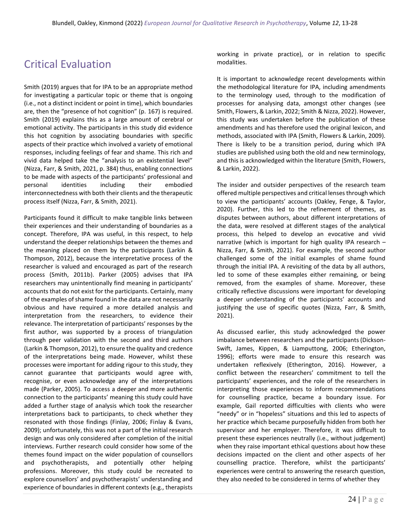# Critical Evaluation

Smith (2019) argues that for IPA to be an appropriate method for investigating a particular topic or theme that is ongoing (i.e., not a distinct incident or point in time), which boundaries are, then the "presence of hot cognition" (p. 167) is required. Smith (2019) explains this as a large amount of cerebral or emotional activity. The participants in this study did evidence this hot cognition by associating boundaries with specific aspects of their practice which involved a variety of emotional responses, including feelings of fear and shame. This rich and vivid data helped take the "analysis to an existential level" (Nizza, Farr, & Smith, 2021, p. 384) thus, enabling connections to be made with aspects of the participants' professional and personal identities including their embodied interconnectedness with both their clients and the therapeutic process itself (Nizza, Farr, & Smith, 2021).

Participants found it difficult to make tangible links between their experiences and their understanding of boundaries as a concept. Therefore, IPA was useful, in this respect, to help understand the deeper relationships between the themes and the meaning placed on them by the participants (Larkin & Thompson, 2012), because the interpretative process of the researcher is valued and encouraged as part of the research process (Smith, 2011b). Parker (2005) advises that IPA researchers may unintentionally find meaning in participants' accounts that do not exist for the participants. Certainly, many of the examples of shame found in the data are not necessarily obvious and have required a more detailed analysis and interpretation from the researchers, to evidence their relevance. The interpretation of participants' responses by the first author, was supported by a process of triangulation through peer validation with the second and third authors (Larkin & Thompson, 2012), to ensure the quality and credence of the interpretations being made. However, whilst these processes were important for adding rigour to this study, they cannot guarantee that participants would agree with, recognise, or even acknowledge any of the interpretations made (Parker, 2005). To access a deeper and more authentic connection to the participants' meaning this study could have added a further stage of analysis which took the researcher interpretations back to participants, to check whether they resonated with those findings (Finlay, 2006; Finlay & Evans, 2009); unfortunately, this was not a part of the initial research design and was only considered after completion of the initial interviews. Further research could consider how some of the themes found impact on the wider population of counsellors and psychotherapists, and potentially other helping professions. Moreover, this study could be recreated to explore counsellors' and psychotherapists' understanding and experience of boundaries in different contexts (e.g., therapists working in private practice), or in relation to specific modalities.

It is important to acknowledge recent developments within the methodological literature for IPA, including amendments to the terminology used, through to the modification of processes for analysing data, amongst other changes (see Smith, Flowers, & Larkin, 2022; Smith & Nizza, 2022). However, this study was undertaken before the publication of these amendments and has therefore used the original lexicon, and methods, associated with IPA (Smith, Flowers & Larkin, 2009). There is likely to be a transition period, during which IPA studies are published using both the old and new terminology, and this is acknowledged within the literature (Smith, Flowers, & Larkin, 2022).

The insider and outsider perspectives of the research team offered multiple perspectives and critical lenses through which to view the participants' accounts (Oakley, Fenge, & Taylor, 2020). Further, this led to the refinement of themes, as disputes between authors, about different interpretations of the data, were resolved at different stages of the analytical process, this helped to develop an evocative and vivid narrative (which is important for high quality IPA research – Nizza, Farr, & Smith, 2021). For example, the second author challenged some of the initial examples of shame found through the initial IPA. A revisiting of the data by all authors, led to some of these examples either remaining, or being removed, from the examples of shame. Moreover, these critically reflective discussions were important for developing a deeper understanding of the participants' accounts and justifying the use of specific quotes (Nizza, Farr, & Smith, 2021).

As discussed earlier, this study acknowledged the power imbalance between researchers and the participants (Dickson-Swift, James, Kippen, & Liamputtong, 2006; Etherington, 1996); efforts were made to ensure this research was undertaken reflexively (Etherington, 2016). However, a conflict between the researchers' commitment to tell the participants' experiences, and the role of the researchers in interpreting those experiences to inform recommendations for counselling practice, became a boundary issue. For example, Gail reported difficulties with clients who were "needy" or in "hopeless" situations and this led to aspects of her practice which became purposefully hidden from both her supervisor and her employer. Therefore, it was difficult to present these experiences neutrally (i.e., without judgement) when they raise important ethical questions about how these decisions impacted on the client and other aspects of her counselling practice. Therefore, whilst the participants' experiences were central to answering the research question, they also needed to be considered in terms of whether they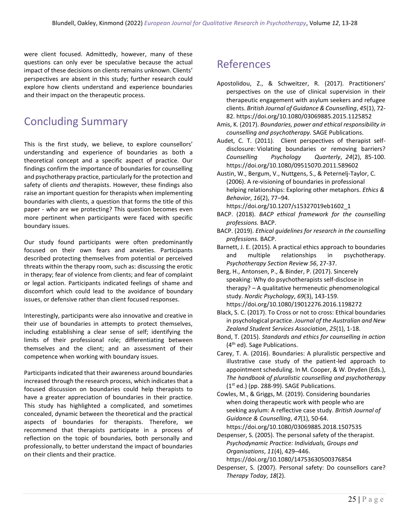were client focused. Admittedly, however, many of these questions can only ever be speculative because the actual impact of these decisions on clients remains unknown. Clients' perspectives are absent in this study; further research could explore how clients understand and experience boundaries and their impact on the therapeutic process.

# Concluding Summary

This is the first study, we believe, to explore counsellors' understanding and experience of boundaries as both a theoretical concept and a specific aspect of practice. Our findings confirm the importance of boundaries for counselling and psychotherapy practice, particularly for the protection and safety of clients *and* therapists. However, these findings also raise an important question for therapists when implementing boundaries with clients, a question that forms the title of this paper - *who* are we protecting? This question becomes even more pertinent when participants were faced with specific boundary issues.

Our study found participants were often predominantly focused on their own fears and anxieties. Participants described protecting themselves from potential or perceived threats within the therapy room, such as: discussing the erotic in therapy; fear of violence from clients; and fear of complaint or legal action. Participants indicated feelings of shame and discomfort which could lead to the avoidance of boundary issues, or defensive rather than client focused responses.

Interestingly, participants were also innovative and creative in their use of boundaries in attempts to protect themselves, including establishing a clear sense of self; identifying the limits of their professional role; differentiating between themselves and the client; and an assessment of their competence when working with boundary issues.

Participants indicated that their awareness around boundaries increased through the research process, which indicates that a focused discussion on boundaries could help therapists to have a greater appreciation of boundaries in their practice. This study has highlighted a complicated, and sometimes concealed, dynamic between the theoretical and the practical aspects of boundaries for therapists. Therefore, we recommend that therapists participate in a process of reflection on the topic of boundaries, both personally and professionally, to better understand the impact of boundaries on their clients and their practice.

# References

- Apostolidou, Z., & Schweitzer, R. (2017). Practitioners' perspectives on the use of clinical supervision in their therapeutic engagement with asylum seekers and refugee clients. *British Journal of Guidance & Counselling*, *45*(1), 72- 82. https://doi.org/10.1080/03069885.2015.1125852
- Amis, K. (2017). *Boundaries, power and ethical responsibility in counselling and psychotherapy.* SAGE Publications.
- Audet, C. T. (2011). Client perspectives of therapist selfdisclosure: Violating boundaries or removing barriers? *Counselling Psychology Quarterly*, *24*(2), 85-100. https://doi.org/10.1080/09515070.2011.589602
- Austin, W., Bergum, V., Nuttgens, S., & Peternelj-Taylor, C. (2006). A re-visioning of boundaries in professional helping relationships: Exploring other metaphors. *Ethics & Behavior*, *16*(2), 77–94.
	- https://doi.org/10.1207/s15327019eb1602\_1
- BACP. (2018). *BACP ethical framework for the counselling professions.* BACP.
- BACP. (2019). *Ethical guidelines for research in the counselling professions.* BACP.
- Barnett, J. E. (2015). A practical ethics approach to boundaries and multiple relationships in psychotherapy. *Psychotherapy Section Review 56*, 27-37.
- Berg, H., Antonsen, P., & Binder, P. (2017). Sincerely speaking: Why do psychotherapists self-disclose in therapy? – A qualitative hermeneutic phenomenological study. *Nordic Psychology*, *69*(3), 143-159. https://doi.org/10.1080/19012276.2016.1198272
- Black, S. C. (2017). To Cross or not to cross: Ethical boundaries in psychological practice. *Journal of the Australian and New Zealand Student Services Association*, *25*(1), 1-18.
- Bond, T. (2015). *Standards and ethics for counselling in action*  (4th ed)*.* Sage Publications.
- Carey, T. A. (2016). Boundaries: A pluralistic perspective and illustrative case study of the patient-led approach to appointment scheduling. In M. Cooper, & W. Dryden (Eds.), *The handbook of pluralistic counselling and psychotherapy*  $(1<sup>st</sup>$  ed.) (pp. 288-99). SAGE Publications.

Cowles, M., & Griggs, M. (2019). Considering boundaries when doing therapeutic work with people who are seeking asylum: A reflective case study. *British Journal of Guidance & Counselling*, *47*(1), 50-64. https://doi.org/10.1080/03069885.2018.1507535

Despenser, S. (2005). The personal safety of the therapist. *Psychodynamic Practice: Individuals, Groups and Organisations*, *11*(4), 429–446.

https://doi.org/10.1080/14753630500376854

Despenser, S. (2007). Personal safety: Do counsellors care? *Therapy Today*, *18*(2).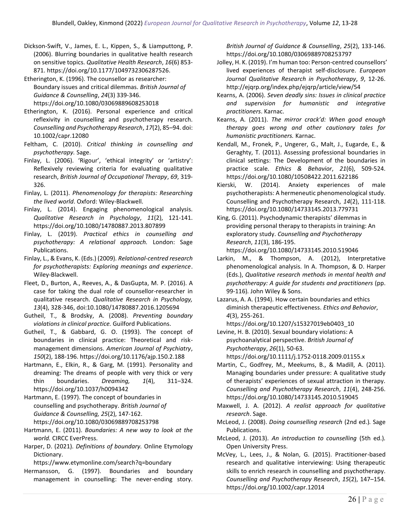- Dickson-Swift, V., James, E. L., Kippen, S., & Liamputtong, P. (2006). Blurring boundaries in qualitative health research on sensitive topics. *Qualitative Health Research*, *16*(6) 853- 871. https://doi.org/10.1177/1049732306287526.
- Etherington, K. (1996). The counsellor as researcher: Boundary issues and critical dilemmas. *British Journal of Guidance & Counselling*, *24*(3) 339-346. https://doi.org/10.1080/03069889608253018
- Etherington, K. (2016). Personal experience and critical reflexivity in counselling and psychotherapy research. *Counselling and Psychotherapy Research*, *17*(2), 85–94. doi: 10.1002/capr.12080
- Feltham, C. (2010). *Critical thinking in counselling and psychotherapy.* Sage.
- Finlay, L. (2006). 'Rigour', 'ethical integrity' or 'artistry': Reflexively reviewing criteria for evaluating qualitative research, *British Journal of Occupational Therapy*, *69*, 319- 326.
- Finlay, L. (2011). *Phenomenology for therapists: Researching the lived world*. Oxford: Wiley-Blackwell.
- Finlay, L. (2014). Engaging phenomenological analysis. *Qualitative Research in Psychology*, *11*(2), 121-141. https://doi.org/10.1080/14780887.2013.807899
- Finlay, L. (2019). *Practical ethics in counselling and psychotherapy: A relational approach.* London: Sage Publications.
- Finlay, L., & Evans, K. (Eds.) (2009). *Relational-centred research for psychotherapists: Exploring meanings and experience*. Wiley-Blackwell.
- Fleet, D., Burton, A., Reeves, A., & DasGupta, M. P. (2016). A case for taking the dual role of counsellor-researcher in qualitative research. *Qualitative Research in Psychology, 13*(4), 328-346, doi:10.1080/14780887.2016.1205694
- Gutheil, T., & Brodsky, A. (2008). *Preventing boundary violations in clinical practice.* Guilford Publications.
- Gutheil, T., & Gabbard, G. O. (1993). The concept of boundaries in clinical practice: Theoretical and riskmanagement dimensions. *American Journal of Psychiatry*, *150*(2), 188-196. https://doi.org/10.1176/ajp.150.2.188
- Hartmann, E., Elkin, R., & Garg, M. (1991). Personality and dreaming: The dreams of people with very thick or very thin boundaries. *Dreaming, 1*(4), 311–324. https://doi.org/10.1037/h0094342
- Hartmann, E. (1997). The concept of boundaries in counselling and psychotherapy. *British Journal of Guidance & Counselling, 25*(2), 147-162. https://doi.org/10.1080/03069889708253798
- Hartmann, E. (2011). *Boundaries: A new way to look at the world.* CIRCC EverPress.
- Harper, D. (2021). *Definitions of boundary.* Online Etymology Dictionary.

https://www.etymonline.com/search?q=boundary

Hermansson, G. (1997). Boundaries and boundary management in counselling: The never-ending story.

*British Journal of Guidance & Counselling*, *25*(2), 133-146. https://doi.org/10.1080/03069889708253797

- Jolley, H. K. (2019). I'm human too: Person-centred counsellors' lived experiences of therapist self-disclosure. *European Journal Qualitative Research in Psychotherapy*, *9*, 12-26. http://ejqrp.org/index.php/ejqrp/article/view/54
- Kearns, A. (2006). *Seven deadly sins: Issues in clinical practice and supervision for humanistic and integrative practitioners*. Karnac.
- Kearns, A. (2011). *The mirror crack'd: When good enough therapy goes wrong and other cautionary tales for humanistic practitioners.* Karnac.
- Kendall, M., Fronek, P., Ungerer, G., Malt, J., Eugarde, E., & Geraghty, T. (2011). Assessing professional boundaries in clinical settings: The Development of the boundaries in practice scale. *Ethics & Behavior*, *21*(6), 509-524. https://doi.org/10.1080/10508422.2011.622186
- Kierski, W. (2014). Anxiety experiences of male psychotherapists: A hermeneutic phenomenological study. Counselling and Psychotherapy Research, *14*(2), 111-118. https://doi.org/10.1080/14733145.2013.779731
- King, G. (2011). Psychodynamic therapists' dilemmas in providing personal therapy to therapists in training: An exploratory study. *Counselling and Psychotherapy Research*, *11*(3), 186-195.

https://doi.org/10.1080/14733145.2010.519046

- Larkin, M., & Thompson, A. (2012), Interpretative phenomenological analysis. In A. Thompson, & D. Harper (Eds.), *Qualitative research methods in mental health and psychotherapy: A guide for students and practitioners* (pp. 99-116)*.* John Wiley & Sons.
- Lazarus, A. A. (1994). How certain boundaries and ethics diminish therapeutic effectiveness. *Ethics and Behavior*, *4*(3), 255-261.

https://doi.org/10.1207/s15327019eb0403\_10

Levine, H. B. (2010). Sexual boundary violations: A psychoanalytical perspective. *British Journal of Psychotherapy*, *26*(1), 50-63.

https://doi.org/10.1111/j.1752-0118.2009.01155.x

- Martin, C., Godfrey, M., Meekums, B., & Madill, A. (2011). Managing boundaries under pressure: A qualitative study of therapists' experiences of sexual attraction in therapy. *Counselling and Psychotherapy Research*, *11*(4), 248-256. https://doi.org/10.1080/14733145.2010.519045
- Maxwell, J. A. (2012). *A realist approach for qualitative research*. Sage.
- McLeod, J. (2008). *Doing counselling research* (2nd ed.)*.* Sage Publications.
- McLeod, J. (2013). *An introduction to counselling* (5th ed.)*.*  Open University Press.
- McVey, L., Lees, J., & Nolan, G. (2015). Practitioner-based research and qualitative interviewing: Using therapeutic skills to enrich research in counselling and psychotherapy. *Counselling and Psychotherapy Research*, *15*(2), 147–154. https://doi.org/10.1002/capr.12014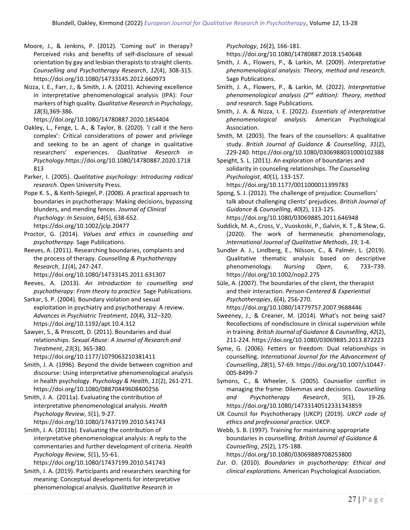- Moore, J., & Jenkins, P. (2012). 'Coming out' in therapy? Perceived risks and benefits of self-disclosure of sexual orientation by gay and lesbian therapists to straight clients. *Counselling and Psychotherapy Research*, *12*(4), 308-315. https://doi.org/10.1080/14733145.2012.660973
- Nizza, I. E., Farr, J., & Smith, J. A. (2021). Achieving excellence in interpretative phenomenological analysis (IPA): Four markers of high quality. *Qualitative Research in Psychology*, *18*(3),369-386.

https://doi.org/10.1080/14780887.2020.1854404

Oakley, L., Fenge, L. A., & Taylor, B. (2020). 'I call it the hero complex': Critical considerations of power and privilege and seeking to be an agent of change in qualitative researchers' experiences. *Qualitative Research in Psychology.*https://doi.org/10.1080/14780887.2020.1718 813

Parker, I. (2005). *Qualitative psychology: Introducing radical research.* Open University Press.

Pope K. S., & Keith-Spiegel, P. (2008). A practical approach to boundaries in psychotherapy: Making decisions, bypassing blunders, and mending fences. *Journal of Clinical Psychology: In Session*, *64*(5), 638-652. https://doi.org/10.1002/jclp.20477

Proctor, G. (2014). *Values and ethics in counselling and psychotherapy.* Sage Publications.

Reeves, A. (2011). Researching boundaries, complaints and the process of therapy. *Counselling & Psychotherapy Research*, *11*(4), 247-247.

https://doi.org/10.1080/14733145.2011.631307

Reeves, A. (2013). *An introduction to counselling and psychotherapy: From theory to practice.* Sage Publications.

Sarkar, S. P. (2004). Boundary violation and sexual exploitation in psychiatry and psychotherapy: A review. *Advances in Psychiatric Treatment*, *10*(4), 312–320. https://doi.org/10.1192/apt.10.4.312

Sawyer, S., & Prescott, D. (2011). Boundaries and dual relationships. *Sexual Abuse: A Journal of Research and Treatment*, *23*(3), 365-380.

https://doi.org/10.1177/1079063210381411

Smith, J. A. (1996). Beyond the divide between cognition and discourse: Using interpretative phenomenological analysis in health psychology. *Psychology & Health*, *11*(2), 261-271. https://doi.org/10.1080/08870449608400256

Smith, J. A. (2011a). Evaluating the contribution of interpretative phenomenological analysis. *Health Psychology Review*, *5*(1), 9-27.

https://doi.org/10.1080/17437199.2010.541743

Smith, J. A. (2011b). Evaluating the contribution of interpretative phenomenological analysis: A reply to the commentaries and further development of criteria. *Health Psychology Review, 5*(1), 55-61.

https://doi.org/10.1080/17437199.2010.541743

Smith, J. A. (2019). Participants and researchers searching for meaning: Conceptual developments for interpretative phenomenological analysis. *Qualitative Research in* 

*Psychology*, *16*(2), 166-181.

https://doi.org/10.1080/14780887.2018.1540648

- Smith, J. A., Flowers, P., & Larkin, M. (2009). *Interpretative phenomenological analysis: Theory, method and research.*  Sage Publications.
- Smith, J. A., Flowers, P., & Larkin, M. (2022). *Interpretative phenomenological analysis (2nd edition): Theory, method and research*. Sage Publications.
- Smith, J. A. & Nizza, I. E. (2022). *Essentials of interpretative phenomenological analysis.* American Psychological Association.

Smith, M. (2003). The fears of the counsellors: A qualitative study. *British Journal of Guidance & Counselling*, *31*(2), 229-240. https://doi.org/10.1080/0306988031000102388

Speight, S. L. (2011). An exploration of boundaries and solidarity in counseling relationships. *The Counseling Psychologist*, *40*(1), 133-157.

https://doi.org/10.1177/0011000011399783

Spong, S. J. (2012). The challenge of prejudice: Counsellors' talk about challenging clients' prejudices. *British Journal of Guidance & Counselling*, *40*(2), 113-125. https://doi.org/10.1080/03069885.2011.646948

- Suddick, M. A., Cross, V., Vuoskoski, P., Galvin, K. T., & Stew, G. (2020). The work of hermeneutic phenomenology, *International Journal of Qualitative Methods*, *19*, 1-4.
- Sundler A. J., Lindberg, E., Nilsson, C., & Palmér, L. (2019). Qualitative thematic analysis based on descriptive phenomenology. *Nursing Open*, *6*, 733–739. https://doi.org/10.1002/nop2.275

Süle, A. (2007). The boundaries of the client, the therapist and their interaction. *Person-Centered & Experiential Psychotherapies*, *6*(4), 256-270. https://doi.org/10.1080/14779757.2007.9688446

- Sweeney, J., & Creaner, M. (2014). What's not being said? Recollections of nondisclosure in clinical supervision while in training. *British Journal of Guidance & Counselling*, *42*(2), 211-224. https://doi.org/10.1080/03069885.2013.872223
- Syme, G. (2006). Fetters or freedom: Dual relationships in counselling. *International Journal for the Advancement of Counselling*, *28*(1), 57-69[. https://doi.org/10.1007/s10447-](https://doi.org/10.1007/s10447-005-8499-7) [005-8499-7](https://doi.org/10.1007/s10447-005-8499-7)
- Symons, C., & Wheeler, S. (2005). Counsellor conflict in managing the frame: Dilemmas and decisions. *Counselling and Psychotherapy Research*, *5*(1), 19-26. <https://doi.org/10.1080/14733140512331343859>
- UK Council for Psychotherapy (UKCP) (2019)*. UKCP code of ethics and professional practice.* UKCP.

Webb, S. B. (1997). Training for maintaining appropriate boundaries in counselling. *British Journal of Guidance & Counselling*, *25*(2), 175-188. https://doi.org/10.1080/03069889708253800

Zur. O. (2010). *Boundaries in psychotherapy: Ethical and clinical explorations.* American Psychological Association.